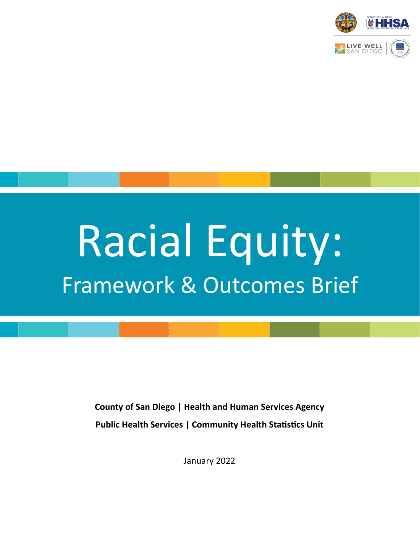

# Racial Equity: Framework & Outcomes Brief

**County of San Diego | Health and Human Services Agency Public Health Services | Community Health Statistics Unit** 

January 2022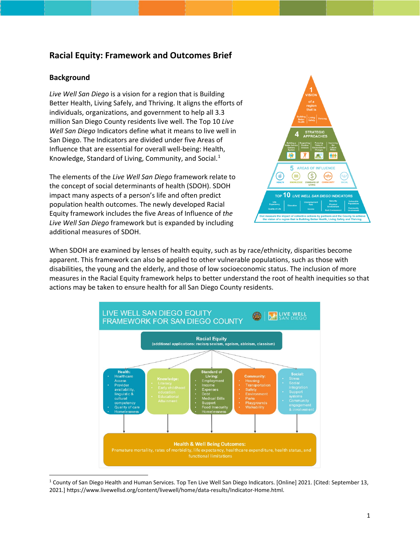#### **Racial Equity: Framework and Outcomes Brief**

#### **Background**

*Live Well San Diego* is a vision for a region that is Building Better Health, Living Safely, and Thriving. It aligns the efforts of individuals, organizations, and government to help all 3.3 million San Diego County residents live well. The Top 10 *Live Well San Diego* Indicators define what it means to live well in San Diego. The Indicators are divided under five Areas of Influence that are essential for overall well-being: Health, Knowledge, Standard of Living, Community, and Social.<sup>[1](#page-1-0)</sup>

The elements of the *Live Well San Diego* framework relate to the concept of social determinants of health (SDOH). SDOH impact many aspects of a person's life and often predict population health outcomes. The newly developed Racial Equity framework includes the five Areas of Influence of *the Live Well San Diego* framework but is expanded by including additional measures of SDOH.



When SDOH are examined by lenses of health equity, such as by race/ethnicity, disparities become apparent. This framework can also be applied to other vulnerable populations, such as those with disabilities, the young and the elderly, and those of low socioeconomic status. The inclusion of more measures in the Racial Equity framework helps to better understand the root of health inequities so that actions may be taken to ensure health for all San Diego County residents.



<span id="page-1-0"></span><sup>1</sup> County of San Diego Health and Human Services. Top Ten Live Well San Diego Indicators. [Online] 2021. [Cited: September 13, 2021.] htps://www.livewellsd.org/content/livewell/home/data-results/Indicator-Home.html.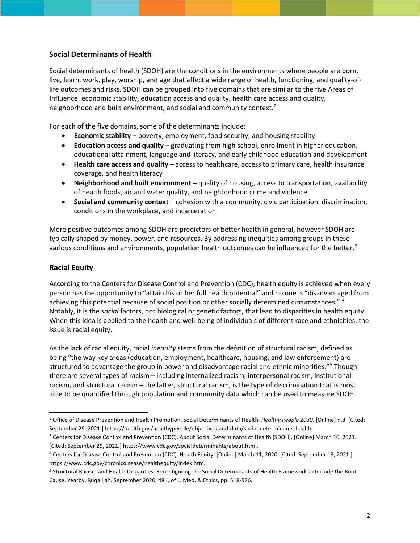#### **Social Determinants of Health**

Social determinants of health (SDOH) are the conditions in the environments where people are born, live, learn, work, play, worship, and age that affect a wide range of health, functioning, and quality-oflife outcomes and risks. SDOH can be grouped into five domains that are similar to the five Areas of Influence: economic stability, education access and quality, health care access and quality, neighborhood and built environment, and social and community context.[2](#page-2-0)

For each of the five domains, some of the determinants include:

- **Economic stability** poverty, employment, food security, and housing stability
- **Education access and quality** graduating from high school, enrollment in higher education, educational attainment, language and literacy, and early childhood education and development
- **Health care access and quality** access to healthcare, access to primary care, health insurance coverage, and health literacy
- **Neighborhood and built environment** quality of housing, access to transportation, availability of health foods, air and water quality, and neighborhood crime and violence
- **Social and community context** cohesion with a community, civic participation, discrimination, conditions in the workplace, and incarceration

More positive outcomes among SDOH are predictors of better health in general, however SDOH are typically shaped by money, power, and resources. By addressing inequities among groups in these various conditions and environments, population health outcomes can be influenced for the better.<sup>[3](#page-2-1)</sup>

#### **Racial Equity**

According to the Centers for Disease Control and Prevention (CDC), health equity is achieved when every person has the opportunity to "attain his or her full health potential" and no one is "disadvantaged from achieving this potential because of social position or other socially determined circumstances." [4](#page-2-2) Notably, it is the *social* factors, not biological or genetic factors, that lead to disparities in health equity. When this idea is applied to the health and well-being of individuals of different race and ethnicities, the issue is racial equity.

As the lack of racial equity, racial *inequity* stems from the definition of structural racism, defined as being "the way key areas (education, employment, healthcare, housing, and law enforcement) are structured to advantage the group in power and disadvantage racial and ethnic minorities."<sup>[5](#page-2-3)</sup> Though there are several types of racism – including internalized racism, interpersonal racism, institutional racism, and structural racism – the latter, structural racism, is the type of discrimination that is most able to be quantified through population and community data which can be used to measure SDOH.

<span id="page-2-0"></span><sup>&</sup>lt;sup>2</sup> Office of Disease Prevention and Health Promotion. Social Determinants of Health. *Healthy People 2030*. [Online] n.d. [Cited: September 29, 2021.] https://health.gov/healthypeople/objectives-and-data/social-determinants-health.

<span id="page-2-1"></span><sup>&</sup>lt;sup>3</sup> Centers for Disease Control and Prevention (CDC). About Social Determinants of Health (SDOH). [Online] March 10, 2021. [Cited: September 29, 2021.] https://www.cdc.gov/socialdeterminants/about.html.

<span id="page-2-2"></span><sup>&</sup>lt;sup>4</sup> Centers for Disease Control and Prevention (CDC). Health Equity. [Online] March 11, 2020. [Cited: September 13, 2021.] htps://www.cdc.gov/chronicdisease/healthequity/index.htm.

<span id="page-2-3"></span><sup>&</sup>lt;sup>5</sup> Structural Racism and Health Disparities: Reconfiguring the Social Determinants of Health Framework to Include the Root Cause. Yearby, Ruqaiijah. September 2020, 48 J. of L. Med. & Ethics, pp. 518-526.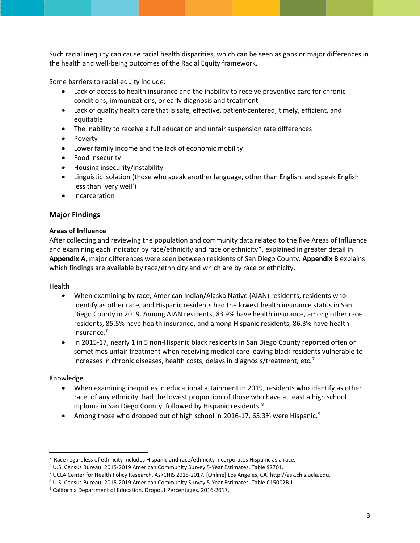Such racial inequity can cause racial health disparities, which can be seen as gaps or major differences in the health and well-being outcomes of the Racial Equity framework.

Some barriers to racial equity include:

- Lack of access to health insurance and the inability to receive preventive care for chronic conditions, immunizations, or early diagnosis and treatment
- Lack of quality health care that is safe, effective, patient-centered, timely, efficient, and equitable
- The inability to receive a full education and unfair suspension rate differences
- Poverty
- Lower family income and the lack of economic mobility
- Food insecurity
- Housing insecurity/instability
- Linguistic isolation (those who speak another language, other than English, and speak English less than 'very well')
- Incarceration

#### **Major Findings**

#### **Areas of Influence**

After collecting and reviewing the population and community data related to the five Areas of Influence and examining each indicator by race/ethnicity and race or ethnicity\*, explained in greater detail in **Appendix A**, major differences were seen between residents of San Diego County. **Appendix B** explains which findings are available by race/ethnicity and which are by race or ethnicity.

#### Health

- When examining by race, American Indian/Alaska Native (AIAN) residents, residents who identify as other race, and Hispanic residents had the lowest health insurance status in San Diego County in 2019. Among AIAN residents, 83.9% have health insurance, among other race residents, 85.5% have health insurance, and among Hispanic residents, 86.3% have health insurance.<sup>[6](#page-3-0)</sup>
- In 2015-17, nearly 1 in 5 non-Hispanic black residents in San Diego County reported often or sometimes unfair treatment when receiving medical care leaving black residents vulnerable to increases in chronic diseases, health costs, delays in diagnosis/treatment, etc.<sup>[7](#page-3-1)</sup>

#### Knowledge

- When examining inequities in educational attainment in 2019, residents who identify as other race, of any ethnicity, had the lowest proportion of those who have at least a high school diploma in San Diego County, followed by Hispanic residents.<sup>[8](#page-3-2)</sup>
- Among those who dropped out of high school in 2016-17, 65.3% were Hispanic.<sup>[9](#page-3-3)</sup>

<span id="page-3-0"></span><sup>\*</sup> Race regardless of ethnicity includes Hispanic and race/ethnicity incorporates Hispanic as a race.

 $6$  U.S. Census Bureau. 2015-2019 American Community Survey 5-Year Estimates, Table S2701.

<span id="page-3-1"></span><sup>7</sup> UCLA Center for Health Policy Research. AskCHIS 2015-2017. [Online] Los Angeles, CA. htp://ask.chis.ucla.edu.

<span id="page-3-2"></span><sup>8</sup> U.S. Census Bureau. 2015-2019 American Community Survey 5-Year Estimates, Table C15002B-I.

<span id="page-3-3"></span><sup>&</sup>lt;sup>9</sup> California Department of Education. Dropout Percentages. 2016-2017.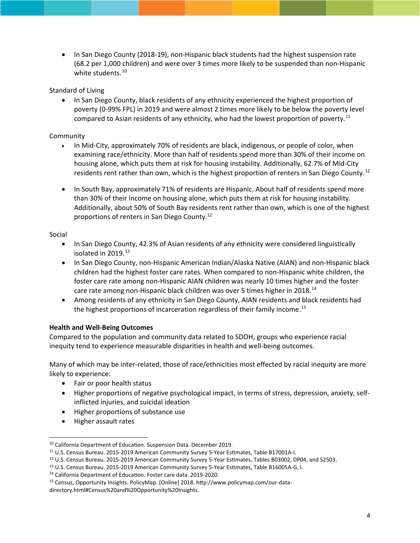• In San Diego County (2018-19), non-Hispanic black students had the highest suspension rate (68.2 per 1,000 children) and were over 3 times more likely to be suspended than non-Hispanic white students.<sup>[10](#page-4-0)</sup>

#### Standard of Living

• In San Diego County, black residents of any ethnicity experienced the highest proportion of poverty (0-99% FPL) in 2019 and were almost 2 times more likely to be below the poverty level compared to Asian residents of any ethnicity, who had the lowest proportion of poverty.<sup>[11](#page-4-1)</sup>

#### Community

- In Mid-City, approximately 70% of residents are black, indigenous, or people of color, when examining race/ethnicity. More than half of residents spend more than 30% of their income on housing alone, which puts them at risk for housing instability. Additionally, 62.7% of Mid-City residents rent rather than own, which is the highest proportion of renters in San Diego County.<sup>[12](#page-4-2)</sup>
- In South Bay, approximately 71% of residents are Hispanic. About half of residents spend more than 30% of their income on housing alone, which puts them at risk for housing instability. Additionally, about 50% of South Bay residents rent rather than own, which is one of the highest proportions of renters in San Diego County.12

#### Social

- In San Diego County, 42.3% of Asian residents of any ethnicity were considered linguistically isolated in 2019.<sup>[13](#page-4-3)</sup>
- In San Diego County, non-Hispanic American Indian/Alaska Native (AIAN) and non-Hispanic black children had the highest foster care rates. When compared to non-Hispanic white children, the foster care rate among non-Hispanic AIAN children was nearly 10 times higher and the foster care rate among non-Hispanic black children was over 5 times higher in 2018.<sup>[14](#page-4-4)</sup>
- Among residents of any ethnicity in San Diego County, AIAN residents and black residents had the highest proportions of incarceration regardless of their family income.<sup>[15](#page-4-5)</sup>

#### **Health and Well-Being Outcomes**

Compared to the population and community data related to SDOH, groups who experience racial inequity tend to experience measurable disparities in health and well-being outcomes.

Many of which may be inter-related, those of race/ethnicities most effected by racial inequity are more likely to experience:

- Fair or poor health status
- Higher proportions of negative psychological impact, in terms of stress, depression, anxiety, selfinflicted injuries, and suicidal ideation
- Higher proportions of substance use
- Higher assault rates

<span id="page-4-0"></span><sup>&</sup>lt;sup>10</sup> California Department of Education. Suspension Data. December 2019.

<span id="page-4-1"></span><sup>&</sup>lt;sup>11</sup> U.S. Census Bureau. 2015-2019 American Community Survey 5-Year Estimates, Table B17001A-I.

<span id="page-4-2"></span><sup>&</sup>lt;sup>12</sup> U.S. Census Bureau. 2015-2019 American Community Survey 5-Year Estimates, Tables B03002, DP04, and S2503.

<span id="page-4-3"></span><sup>&</sup>lt;sup>13</sup> U.S. Census Bureau. 2015-2019 American Community Survey 5-Year Estimates, Table B16005A-G, I.

<span id="page-4-4"></span><sup>&</sup>lt;sup>14</sup> California Department of Education. Foster care data. 2019-2020.

<span id="page-4-5"></span><sup>15</sup> Census, Opportunity Insights. PolicyMap. [Online] 2018. htp://www.policymap.com/our-datadirectory.html#Census%20and%20Opportunity%20Insights.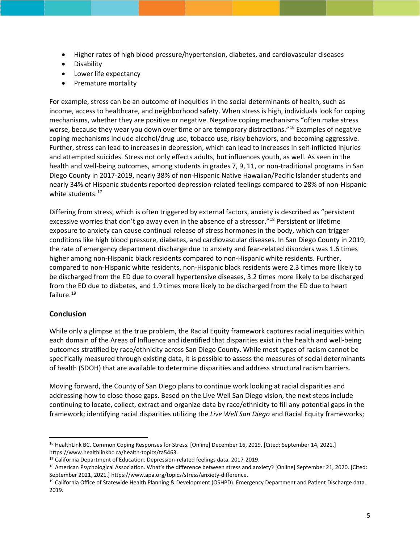- Higher rates of high blood pressure/hypertension, diabetes, and cardiovascular diseases
- Disability
- Lower life expectancy
- Premature mortality

For example, stress can be an outcome of inequities in the social determinants of health, such as income, access to healthcare, and neighborhood safety. When stress is high, individuals look for coping mechanisms, whether they are positive or negative. Negative coping mechanisms "often make stress worse, because they wear you down over time or are temporary distractions."[16](#page-5-0) Examples of negative coping mechanisms include alcohol/drug use, tobacco use, risky behaviors, and becoming aggressive. Further, stress can lead to increases in depression, which can lead to increases in self-inflicted injuries and attempted suicides. Stress not only effects adults, but influences youth, as well. As seen in the health and well-being outcomes, among students in grades 7, 9, 11, or non-traditional programs in San Diego County in 2017-2019, nearly 38% of non-Hispanic Native Hawaiian/Pacific Islander students and nearly 34% of Hispanic students reported depression-related feelings compared to 28% of non-Hispanic white students.<sup>[17](#page-5-1)</sup>

Differing from stress, which is often triggered by external factors, anxiety is described as "persistent excessive worries that don't go away even in the absence of a stressor."<sup>[18](#page-5-2)</sup> Persistent or lifetime exposure to anxiety can cause continual release of stress hormones in the body, which can trigger conditions like high blood pressure, diabetes, and cardiovascular diseases. In San Diego County in 2019, the rate of emergency department discharge due to anxiety and fear-related disorders was 1.6 times higher among non-Hispanic black residents compared to non-Hispanic white residents. Further, compared to non-Hispanic white residents, non-Hispanic black residents were 2.3 times more likely to be discharged from the ED due to overall hypertensive diseases, 3.2 times more likely to be discharged from the ED due to diabetes, and 1.9 times more likely to be discharged from the ED due to heart failure.<sup>[19](#page-5-3)</sup>

#### **Conclusion**

While only a glimpse at the true problem, the Racial Equity framework captures racial inequities within each domain of the Areas of Influence and identified that disparities exist in the health and well-being outcomes stratified by race/ethnicity across San Diego County. While most types of racism cannot be specifically measured through existing data, it is possible to assess the measures of social determinants of health (SDOH) that are available to determine disparities and address structural racism barriers.

Moving forward, the County of San Diego plans to continue work looking at racial disparities and addressing how to close those gaps. Based on the Live Well San Diego vision, the next steps include continuing to locate, collect, extract and organize data by race/ethnicity to fill any potential gaps in the framework; identifying racial disparities utilizing the *Live Well San Diego* and Racial Equity frameworks;

<span id="page-5-0"></span><sup>16</sup> HealthLink BC. Common Coping Responses for Stress. [Online] December 16, 2019. [Cited: September 14, 2021.] htps://www.healthlinkbc.ca/health-topics/ta5463.

<span id="page-5-1"></span><sup>&</sup>lt;sup>17</sup> California Department of Education. Depression-related feelings data. 2017-2019.

<span id="page-5-2"></span><sup>&</sup>lt;sup>18</sup> American Psychological Association. What's the difference between stress and anxiety? [Online] September 21, 2020. [Cited: September 2021, 2021.] https://www.apa.org/topics/stress/anxiety-difference.

<span id="page-5-3"></span><sup>&</sup>lt;sup>19</sup> California Office of Statewide Health Planning & Development (OSHPD). Emergency Department and Patient Discharge data. 2019.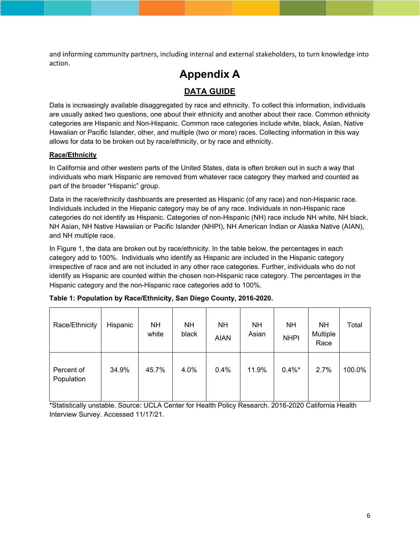and informing community partners, including internal and external stakeholders, to turn knowledge into action.

# **Appendix A DATA GUIDE**

Data is increasingly available disaggregated by race and ethnicity. To collect this information, individuals are usually asked two questions, one about their ethnicity and another about their race. Common ethnicity categories are Hispanic and Non-Hispanic. Common race categories include white, black, Asian, Native Hawaiian or Pacific Islander, other, and multiple (two or more) races. Collecting information in this way allows for data to be broken out by race/ethnicity, or by race and ethnicity.

#### **Race/Ethnicity**

In California and other western parts of the United States, data is often broken out in such a way that individuals who mark Hispanic are removed from whatever race category they marked and counted as part of the broader "Hispanic" group.

Data in the race/ethnicity dashboards are presented as Hispanic (of any race) and non-Hispanic race. Individuals included in the Hispanic category may be of any race. Individuals in non-Hispanic race categories do not identify as Hispanic. Categories of non-Hispanic (NH) race include NH white, NH black, NH Asian, NH Native Hawaiian or Pacific Islander (NHPI), NH American Indian or Alaska Native (AIAN), and NH multiple race.

In Figure 1, the data are broken out by race/ethnicity. In the table below, the percentages in each category add to 100%. Individuals who identify as Hispanic are included in the Hispanic category irrespective of race and are not included in any other race categories. Further, individuals who do not identify as Hispanic are counted within the chosen non-Hispanic race category. The percentages in the Hispanic category and the non-Hispanic race categories add to 100%.

| Race/Ethnicity           | Hispanic | <b>NH</b><br>white | <b>NH</b><br>black | <b>NH</b><br><b>AIAN</b> | NΗ<br>Asian | <b>NH</b><br><b>NHPI</b> | NΗ<br>Multiple<br>Race | Total  |
|--------------------------|----------|--------------------|--------------------|--------------------------|-------------|--------------------------|------------------------|--------|
| Percent of<br>Population | 34.9%    | 45.7%              | 4.0%               | 0.4%                     | 11.9%       | $0.4\%$ *                | 2.7%                   | 100.0% |

|  |  | Table 1: Population by Race/Ethnicity, San Diego County, 2016-2020. |  |  |
|--|--|---------------------------------------------------------------------|--|--|
|  |  |                                                                     |  |  |

\*Statistically unstable. Source: UCLA Center for Health Policy Research. 2016-2020 California Health Interview Survey. Accessed 11/17/21.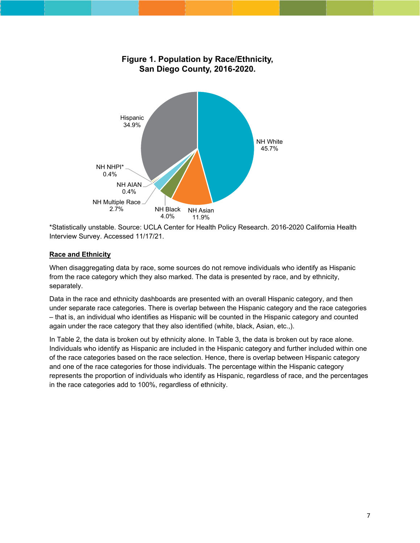

\*Statistically unstable. Source: UCLA Center for Health Policy Research. 2016-2020 California Health Interview Survey. Accessed 11/17/21.

#### **Race and Ethnicity**

When disaggregating data by race, some sources do not remove individuals who identify as Hispanic from the race category which they also marked. The data is presented by race, and by ethnicity, separately.

Data in the race and ethnicity dashboards are presented with an overall Hispanic category, and then under separate race categories. There is overlap between the Hispanic category and the race categories – that is, an individual who identifies as Hispanic will be counted in the Hispanic category and counted again under the race category that they also identified (white, black, Asian, etc.,).

In Table 2, the data is broken out by ethnicity alone. In Table 3, the data is broken out by race alone. Individuals who identify as Hispanic are included in the Hispanic category and further included within one of the race categories based on the race selection. Hence, there is overlap between Hispanic category and one of the race categories for those individuals. The percentage within the Hispanic category represents the proportion of individuals who identify as Hispanic, regardless of race, and the percentages in the race categories add to 100%, regardless of ethnicity.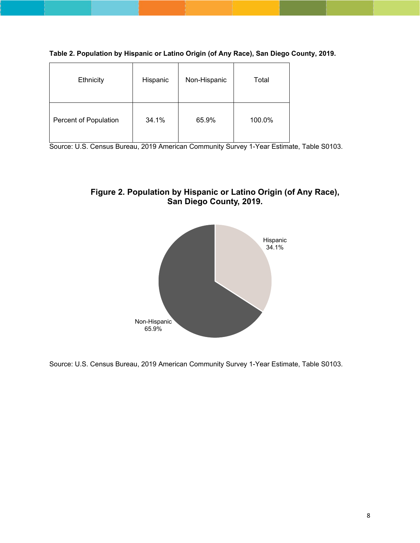**Table 2. Population by Hispanic or Latino Origin (of Any Race), San Diego County, 2019.**

| Ethnicity             | Hispanic | Non-Hispanic | Total  |
|-----------------------|----------|--------------|--------|
| Percent of Population | 34.1%    | 65.9%        | 100.0% |

Source: U.S. Census Bureau, 2019 American Community Survey 1-Year Estimate, Table S0103.





Source: U.S. Census Bureau, 2019 American Community Survey 1-Year Estimate, Table S0103.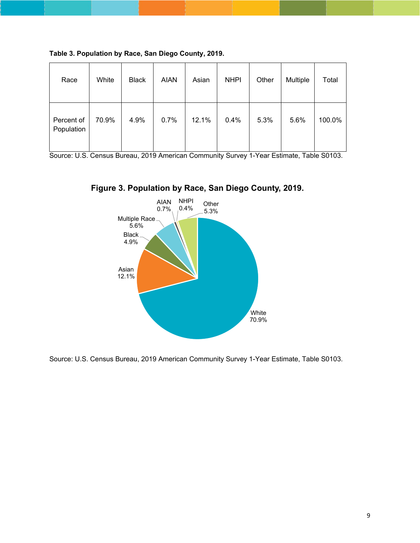| Race                     | White | <b>Black</b> | <b>AIAN</b> | Asian | <b>NHPI</b> | Other | Multiple | Total  |
|--------------------------|-------|--------------|-------------|-------|-------------|-------|----------|--------|
| Percent of<br>Population | 70.9% | 4.9%         | 0.7%        | 12.1% | 0.4%        | 5.3%  | 5.6%     | 100.0% |

**Table 3. Population by Race, San Diego County, 2019.**

Source: U.S. Census Bureau, 2019 American Community Survey 1-Year Estimate, Table S0103.





Source: U.S. Census Bureau, 2019 American Community Survey 1-Year Estimate, Table S0103.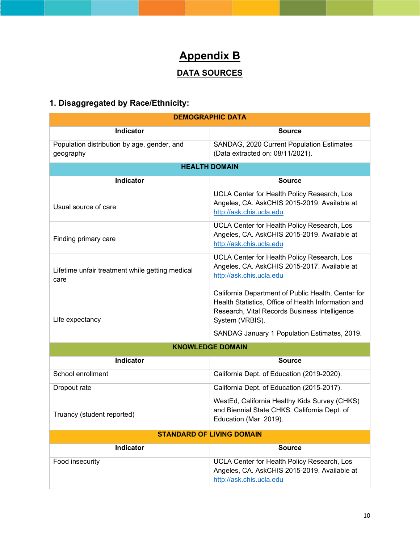# **Appendix B**

## **DATA SOURCES**

## **1. Disaggregated by Race/Ethnicity:**

| <b>DEMOGRAPHIC DATA</b>                                  |                                                                                                                                                                               |  |  |
|----------------------------------------------------------|-------------------------------------------------------------------------------------------------------------------------------------------------------------------------------|--|--|
| <b>Indicator</b>                                         | <b>Source</b>                                                                                                                                                                 |  |  |
| Population distribution by age, gender, and<br>geography | SANDAG, 2020 Current Population Estimates<br>(Data extracted on: 08/11/2021).                                                                                                 |  |  |
|                                                          | <b>HEALTH DOMAIN</b>                                                                                                                                                          |  |  |
| <b>Indicator</b>                                         | <b>Source</b>                                                                                                                                                                 |  |  |
| Usual source of care                                     | UCLA Center for Health Policy Research, Los<br>Angeles, CA. AskCHIS 2015-2019. Available at<br>http://ask.chis.ucla.edu                                                       |  |  |
| Finding primary care                                     | UCLA Center for Health Policy Research, Los<br>Angeles, CA. AskCHIS 2015-2019. Available at<br>http://ask.chis.ucla.edu                                                       |  |  |
| Lifetime unfair treatment while getting medical<br>care  | UCLA Center for Health Policy Research, Los<br>Angeles, CA. AskCHIS 2015-2017. Available at<br>http://ask.chis.ucla.edu                                                       |  |  |
| Life expectancy                                          | California Department of Public Health, Center for<br>Health Statistics, Office of Health Information and<br>Research, Vital Records Business Intelligence<br>System (VRBIS). |  |  |
|                                                          | SANDAG January 1 Population Estimates, 2019.                                                                                                                                  |  |  |
|                                                          | <b>KNOWLEDGE DOMAIN</b>                                                                                                                                                       |  |  |
| Indicator                                                | <b>Source</b>                                                                                                                                                                 |  |  |
| School enrollment                                        | California Dept. of Education (2019-2020).                                                                                                                                    |  |  |
| Dropout rate                                             | California Dept. of Education (2015-2017).                                                                                                                                    |  |  |
| Truancy (student reported)                               | WestEd, California Healthy Kids Survey (CHKS)<br>and Biennial State CHKS. California Dept. of<br>Education (Mar. 2019).                                                       |  |  |
|                                                          | <b>STANDARD OF LIVING DOMAIN</b>                                                                                                                                              |  |  |
| Indicator                                                | <b>Source</b>                                                                                                                                                                 |  |  |
| Food insecurity                                          | UCLA Center for Health Policy Research, Los<br>Angeles, CA. AskCHIS 2015-2019. Available at<br>http://ask.chis.ucla.edu                                                       |  |  |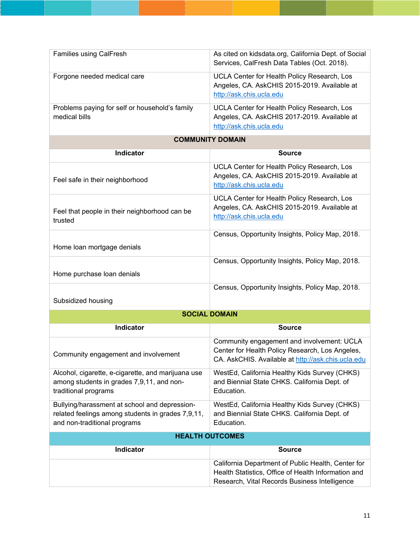| <b>Families using CalFresh</b>                                  | As cited on kidsdata.org, California Dept. of Social<br>Services, CalFresh Data Tables (Oct. 2018).                     |
|-----------------------------------------------------------------|-------------------------------------------------------------------------------------------------------------------------|
| Forgone needed medical care                                     | UCLA Center for Health Policy Research, Los<br>Angeles, CA. AskCHIS 2015-2019. Available at<br>http://ask.chis.ucla.edu |
| Problems paying for self or household's family<br>medical bills | UCLA Center for Health Policy Research, Los<br>Angeles, CA. AskCHIS 2017-2019. Available at<br>http://ask.chis.ucla.edu |

#### **COMMUNITY DOMAIN**

| Indicator                                                | Source                                                                                                                  |  |
|----------------------------------------------------------|-------------------------------------------------------------------------------------------------------------------------|--|
| Feel safe in their neighborhood                          | UCLA Center for Health Policy Research, Los<br>Angeles, CA. AskCHIS 2015-2019. Available at<br>http://ask.chis.ucla.edu |  |
| Feel that people in their neighborhood can be<br>trusted | UCLA Center for Health Policy Research, Los<br>Angeles, CA. AskCHIS 2015-2019. Available at<br>http://ask.chis.ucla.edu |  |
| Home loan mortgage denials                               | Census, Opportunity Insights, Policy Map, 2018.                                                                         |  |
| Home purchase loan denials                               | Census, Opportunity Insights, Policy Map, 2018.                                                                         |  |
| Subsidized housing                                       | Census, Opportunity Insights, Policy Map, 2018.                                                                         |  |
| <b>SOCIAL DOMAIN</b>                                     |                                                                                                                         |  |

| <b>Indicator</b>                                                                                                                   | <b>Source</b>                                                                                                                                       |  |  |
|------------------------------------------------------------------------------------------------------------------------------------|-----------------------------------------------------------------------------------------------------------------------------------------------------|--|--|
| Community engagement and involvement                                                                                               | Community engagement and involvement: UCLA<br>Center for Health Policy Research, Los Angeles,<br>CA. AskCHIS. Available at http://ask.chis.ucla.edu |  |  |
| Alcohol, cigarette, e-cigarette, and marijuana use<br>among students in grades 7,9,11, and non-<br>traditional programs            | WestEd, California Healthy Kids Survey (CHKS)<br>and Biennial State CHKS. California Dept. of<br>Education.                                         |  |  |
| Bullying/harassment at school and depression-<br>related feelings among students in grades 7,9,11,<br>and non-traditional programs | WestEd, California Healthy Kids Survey (CHKS)<br>and Biennial State CHKS. California Dept. of<br>Education.                                         |  |  |
| <b>HEALTH OUTCOMES</b>                                                                                                             |                                                                                                                                                     |  |  |

| Indicator | <b>Source</b>                                                                                                                                              |
|-----------|------------------------------------------------------------------------------------------------------------------------------------------------------------|
|           | California Department of Public Health, Center for<br>Health Statistics, Office of Health Information and<br>Research, Vital Records Business Intelligence |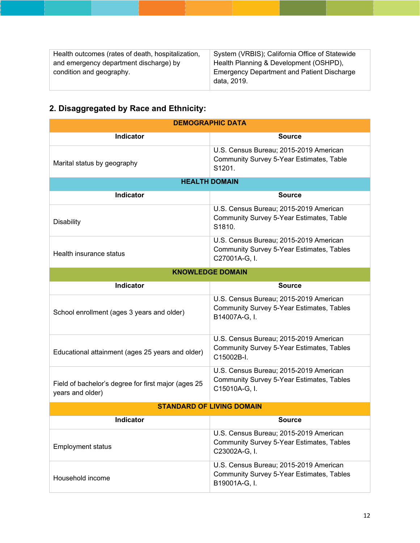| System (VRBIS); California Office of Statewide    |
|---------------------------------------------------|
| Health Planning & Development (OSHPD),            |
| <b>Emergency Department and Patient Discharge</b> |
| data. 2019.                                       |
|                                                   |

## **2. Disaggregated by Race and Ethnicity:**

| <b>DEMOGRAPHIC DATA</b>                                                 |                                                                                                             |  |  |  |
|-------------------------------------------------------------------------|-------------------------------------------------------------------------------------------------------------|--|--|--|
| <b>Indicator</b>                                                        | <b>Source</b>                                                                                               |  |  |  |
| Marital status by geography                                             | U.S. Census Bureau; 2015-2019 American<br><b>Community Survey 5-Year Estimates, Table</b><br>S1201.         |  |  |  |
|                                                                         | <b>HEALTH DOMAIN</b>                                                                                        |  |  |  |
| Indicator                                                               | <b>Source</b>                                                                                               |  |  |  |
| <b>Disability</b>                                                       | U.S. Census Bureau; 2015-2019 American<br><b>Community Survey 5-Year Estimates, Table</b><br>S1810.         |  |  |  |
| Health insurance status                                                 | U.S. Census Bureau; 2015-2019 American<br><b>Community Survey 5-Year Estimates, Tables</b><br>C27001A-G, I. |  |  |  |
|                                                                         | <b>KNOWLEDGE DOMAIN</b>                                                                                     |  |  |  |
| <b>Indicator</b>                                                        | <b>Source</b>                                                                                               |  |  |  |
| School enrollment (ages 3 years and older)                              | U.S. Census Bureau; 2015-2019 American<br><b>Community Survey 5-Year Estimates, Tables</b><br>B14007A-G, I. |  |  |  |
| Educational attainment (ages 25 years and older)                        | U.S. Census Bureau; 2015-2019 American<br><b>Community Survey 5-Year Estimates, Tables</b><br>C15002B-I.    |  |  |  |
| Field of bachelor's degree for first major (ages 25<br>years and older) | U.S. Census Bureau; 2015-2019 American<br><b>Community Survey 5-Year Estimates, Tables</b><br>C15010A-G, I. |  |  |  |
|                                                                         | <b>STANDARD OF LIVING DOMAIN</b>                                                                            |  |  |  |
| Indicator                                                               | <b>Source</b>                                                                                               |  |  |  |
| <b>Employment status</b>                                                | U.S. Census Bureau; 2015-2019 American<br><b>Community Survey 5-Year Estimates, Tables</b><br>C23002A-G, I. |  |  |  |
| Household income                                                        | U.S. Census Bureau; 2015-2019 American<br><b>Community Survey 5-Year Estimates, Tables</b><br>B19001A-G, I. |  |  |  |